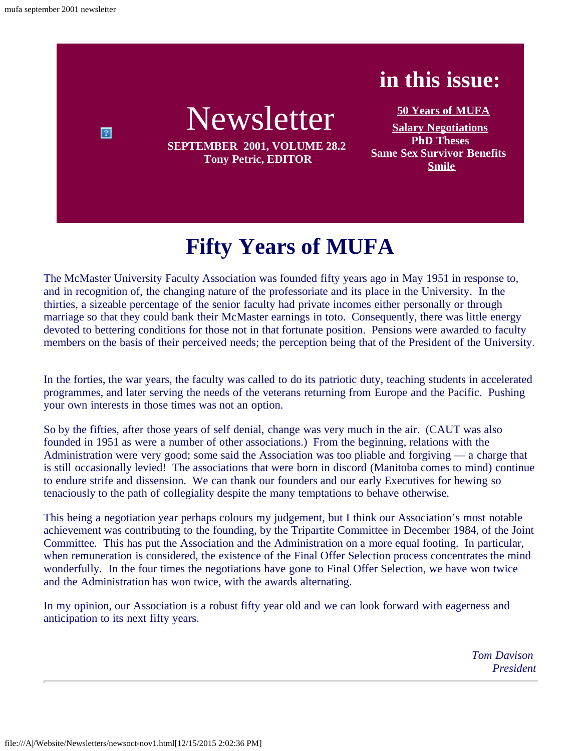$\boxed{2}$ 



**SEPTEMBER 2001, VOLUME 28.2 Tony Petric, EDITOR**

**[50 Years of MUFA](#page-0-0) [Salary Negotiations](#page-1-0) [PhD Theses](#page-3-0) [Same Sex Survivor Benefits](#page-4-0) [Smile](#page-4-1)**

**in this issue:**

# **Fifty Years of MUFA**

<span id="page-0-0"></span>The McMaster University Faculty Association was founded fifty years ago in May 1951 in response to, and in recognition of, the changing nature of the professoriate and its place in the University. In the thirties, a sizeable percentage of the senior faculty had private incomes either personally or through marriage so that they could bank their McMaster earnings in toto. Consequently, there was little energy devoted to bettering conditions for those not in that fortunate position. Pensions were awarded to faculty members on the basis of their perceived needs; the perception being that of the President of the University.

In the forties, the war years, the faculty was called to do its patriotic duty, teaching students in accelerated programmes, and later serving the needs of the veterans returning from Europe and the Pacific. Pushing your own interests in those times was not an option.

So by the fifties, after those years of self denial, change was very much in the air. (CAUT was also founded in 1951 as were a number of other associations.) From the beginning, relations with the Administration were very good; some said the Association was too pliable and forgiving — a charge that is still occasionally levied! The associations that were born in discord (Manitoba comes to mind) continue to endure strife and dissension. We can thank our founders and our early Executives for hewing so tenaciously to the path of collegiality despite the many temptations to behave otherwise.

This being a negotiation year perhaps colours my judgement, but I think our Association's most notable achievement was contributing to the founding, by the Tripartite Committee in December 1984, of the Joint Committee. This has put the Association and the Administration on a more equal footing. In particular, when remuneration is considered, the existence of the Final Offer Selection process concentrates the mind wonderfully. In the four times the negotiations have gone to Final Offer Selection, we have won twice and the Administration has won twice, with the awards alternating.

In my opinion, our Association is a robust fifty year old and we can look forward with eagerness and anticipation to its next fifty years.

> *Tom Davison President*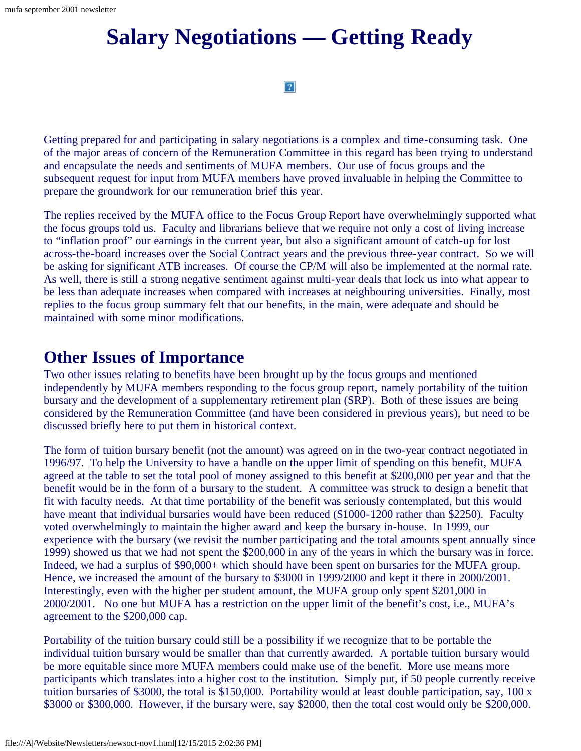## <span id="page-1-0"></span>**Salary Negotiations — Getting Ready**

 $|2|$ 

Getting prepared for and participating in salary negotiations is a complex and time-consuming task. One of the major areas of concern of the Remuneration Committee in this regard has been trying to understand and encapsulate the needs and sentiments of MUFA members. Our use of focus groups and the subsequent request for input from MUFA members have proved invaluable in helping the Committee to prepare the groundwork for our remuneration brief this year.

The replies received by the MUFA office to the Focus Group Report have overwhelmingly supported what the focus groups told us. Faculty and librarians believe that we require not only a cost of living increase to "inflation proof" our earnings in the current year, but also a significant amount of catch-up for lost across-the-board increases over the Social Contract years and the previous three-year contract. So we will be asking for significant ATB increases. Of course the CP/M will also be implemented at the normal rate. As well, there is still a strong negative sentiment against multi-year deals that lock us into what appear to be less than adequate increases when compared with increases at neighbouring universities. Finally, most replies to the focus group summary felt that our benefits, in the main, were adequate and should be maintained with some minor modifications.

### **Other Issues of Importance**

Two other issues relating to benefits have been brought up by the focus groups and mentioned independently by MUFA members responding to the focus group report, namely portability of the tuition bursary and the development of a supplementary retirement plan (SRP). Both of these issues are being considered by the Remuneration Committee (and have been considered in previous years), but need to be discussed briefly here to put them in historical context.

The form of tuition bursary benefit (not the amount) was agreed on in the two-year contract negotiated in 1996/97. To help the University to have a handle on the upper limit of spending on this benefit, MUFA agreed at the table to set the total pool of money assigned to this benefit at \$200,000 per year and that the benefit would be in the form of a bursary to the student. A committee was struck to design a benefit that fit with faculty needs. At that time portability of the benefit was seriously contemplated, but this would have meant that individual bursaries would have been reduced (\$1000-1200 rather than \$2250). Faculty voted overwhelmingly to maintain the higher award and keep the bursary in-house. In 1999, our experience with the bursary (we revisit the number participating and the total amounts spent annually since 1999) showed us that we had not spent the \$200,000 in any of the years in which the bursary was in force. Indeed, we had a surplus of \$90,000+ which should have been spent on bursaries for the MUFA group. Hence, we increased the amount of the bursary to \$3000 in 1999/2000 and kept it there in 2000/2001. Interestingly, even with the higher per student amount, the MUFA group only spent \$201,000 in 2000/2001. No one but MUFA has a restriction on the upper limit of the benefit's cost, i.e., MUFA's agreement to the \$200,000 cap.

Portability of the tuition bursary could still be a possibility if we recognize that to be portable the individual tuition bursary would be smaller than that currently awarded. A portable tuition bursary would be more equitable since more MUFA members could make use of the benefit. More use means more participants which translates into a higher cost to the institution. Simply put, if 50 people currently receive tuition bursaries of \$3000, the total is \$150,000. Portability would at least double participation, say, 100 x \$3000 or \$300,000. However, if the bursary were, say \$2000, then the total cost would only be \$200,000.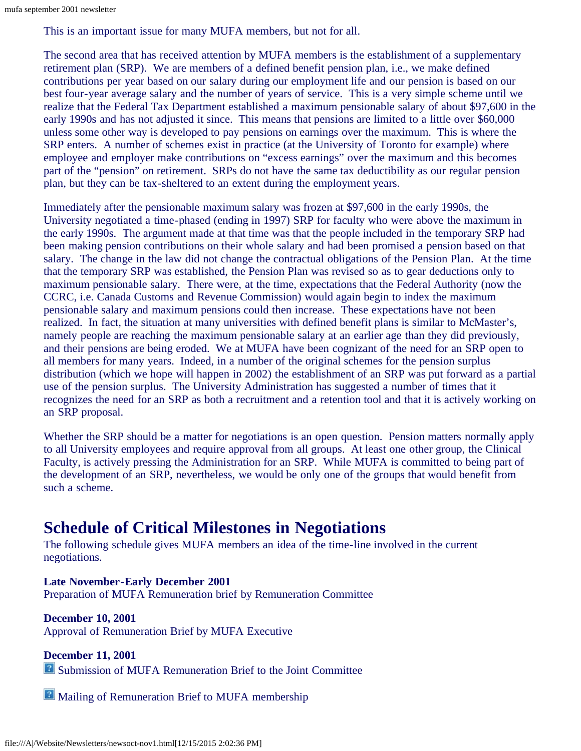This is an important issue for many MUFA members, but not for all.

The second area that has received attention by MUFA members is the establishment of a supplementary retirement plan (SRP). We are members of a defined benefit pension plan, i.e., we make defined contributions per year based on our salary during our employment life and our pension is based on our best four-year average salary and the number of years of service. This is a very simple scheme until we realize that the Federal Tax Department established a maximum pensionable salary of about \$97,600 in the early 1990s and has not adjusted it since. This means that pensions are limited to a little over \$60,000 unless some other way is developed to pay pensions on earnings over the maximum. This is where the SRP enters. A number of schemes exist in practice (at the University of Toronto for example) where employee and employer make contributions on "excess earnings" over the maximum and this becomes part of the "pension" on retirement. SRPs do not have the same tax deductibility as our regular pension plan, but they can be tax-sheltered to an extent during the employment years.

Immediately after the pensionable maximum salary was frozen at \$97,600 in the early 1990s, the University negotiated a time-phased (ending in 1997) SRP for faculty who were above the maximum in the early 1990s. The argument made at that time was that the people included in the temporary SRP had been making pension contributions on their whole salary and had been promised a pension based on that salary. The change in the law did not change the contractual obligations of the Pension Plan. At the time that the temporary SRP was established, the Pension Plan was revised so as to gear deductions only to maximum pensionable salary. There were, at the time, expectations that the Federal Authority (now the CCRC, i.e. Canada Customs and Revenue Commission) would again begin to index the maximum pensionable salary and maximum pensions could then increase. These expectations have not been realized. In fact, the situation at many universities with defined benefit plans is similar to McMaster's, namely people are reaching the maximum pensionable salary at an earlier age than they did previously, and their pensions are being eroded. We at MUFA have been cognizant of the need for an SRP open to all members for many years. Indeed, in a number of the original schemes for the pension surplus distribution (which we hope will happen in 2002) the establishment of an SRP was put forward as a partial use of the pension surplus. The University Administration has suggested a number of times that it recognizes the need for an SRP as both a recruitment and a retention tool and that it is actively working on an SRP proposal.

Whether the SRP should be a matter for negotiations is an open question. Pension matters normally apply to all University employees and require approval from all groups. At least one other group, the Clinical Faculty, is actively pressing the Administration for an SRP. While MUFA is committed to being part of the development of an SRP, nevertheless, we would be only one of the groups that would benefit from such a scheme.

### **Schedule of Critical Milestones in Negotiations**

The following schedule gives MUFA members an idea of the time-line involved in the current negotiations.

**Late November-Early December 2001** Preparation of MUFA Remuneration brief by Remuneration Committee

**December 10, 2001** Approval of Remuneration Brief by MUFA Executive

**December 11, 2001 B** Submission of MUFA Remuneration Brief to the Joint Committee

**Mailing of Remuneration Brief to MUFA membership**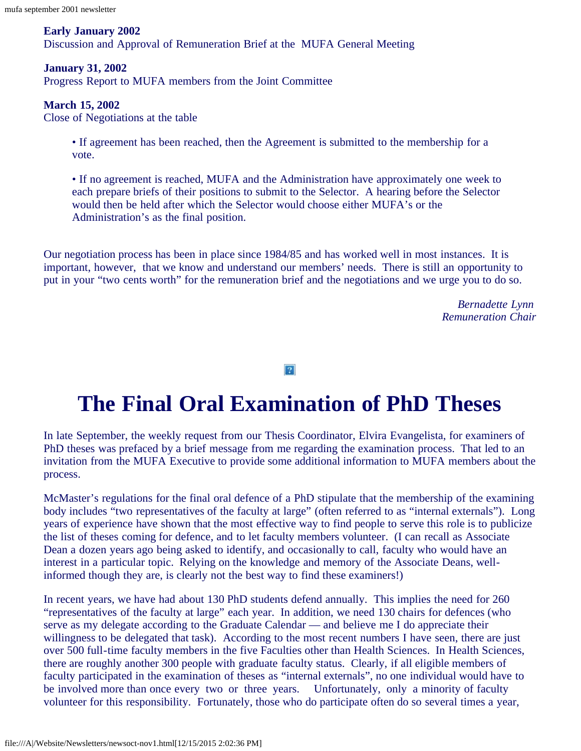#### **Early January 2002**

Discussion and Approval of Remuneration Brief at the MUFA General Meeting

#### **January 31, 2002**

Progress Report to MUFA members from the Joint Committee

#### **March 15, 2002**

Close of Negotiations at the table

• If agreement has been reached, then the Agreement is submitted to the membership for a vote.

• If no agreement is reached, MUFA and the Administration have approximately one week to each prepare briefs of their positions to submit to the Selector. A hearing before the Selector would then be held after which the Selector would choose either MUFA's or the Administration's as the final position.

Our negotiation process has been in place since 1984/85 and has worked well in most instances. It is important, however, that we know and understand our members' needs. There is still an opportunity to put in your "two cents worth" for the remuneration brief and the negotiations and we urge you to do so.

> *Bernadette Lynn Remuneration Chair*

 $\overline{?}$ 

## **The Final Oral Examination of PhD Theses**

<span id="page-3-0"></span>In late September, the weekly request from our Thesis Coordinator, Elvira Evangelista, for examiners of PhD theses was prefaced by a brief message from me regarding the examination process. That led to an invitation from the MUFA Executive to provide some additional information to MUFA members about the process.

McMaster's regulations for the final oral defence of a PhD stipulate that the membership of the examining body includes "two representatives of the faculty at large" (often referred to as "internal externals"). Long years of experience have shown that the most effective way to find people to serve this role is to publicize the list of theses coming for defence, and to let faculty members volunteer. (I can recall as Associate Dean a dozen years ago being asked to identify, and occasionally to call, faculty who would have an interest in a particular topic. Relying on the knowledge and memory of the Associate Deans, wellinformed though they are, is clearly not the best way to find these examiners!)

In recent years, we have had about 130 PhD students defend annually. This implies the need for 260 "representatives of the faculty at large" each year. In addition, we need 130 chairs for defences (who serve as my delegate according to the Graduate Calendar — and believe me I do appreciate their willingness to be delegated that task). According to the most recent numbers I have seen, there are just over 500 full-time faculty members in the five Faculties other than Health Sciences. In Health Sciences, there are roughly another 300 people with graduate faculty status. Clearly, if all eligible members of faculty participated in the examination of theses as "internal externals", no one individual would have to be involved more than once every two or three years. Unfortunately, only a minority of faculty volunteer for this responsibility. Fortunately, those who do participate often do so several times a year,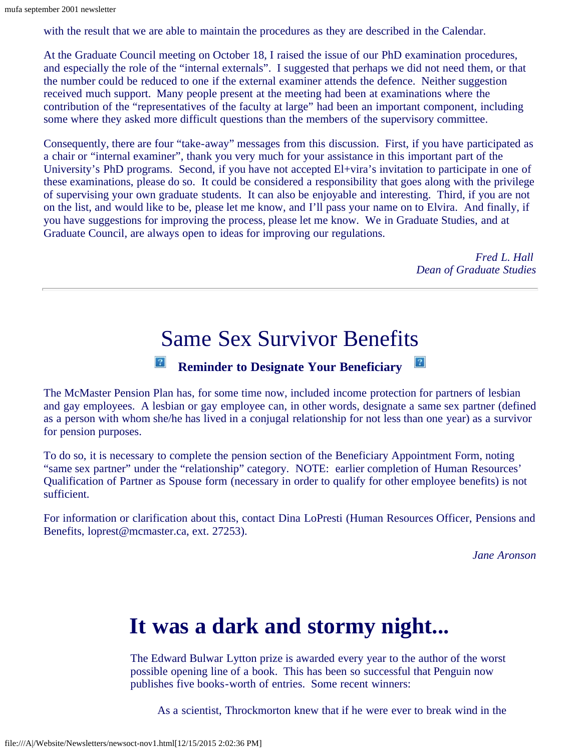with the result that we are able to maintain the procedures as they are described in the Calendar.

At the Graduate Council meeting on October 18, I raised the issue of our PhD examination procedures, and especially the role of the "internal externals". I suggested that perhaps we did not need them, or that the number could be reduced to one if the external examiner attends the defence. Neither suggestion received much support. Many people present at the meeting had been at examinations where the contribution of the "representatives of the faculty at large" had been an important component, including some where they asked more difficult questions than the members of the supervisory committee.

Consequently, there are four "take-away" messages from this discussion. First, if you have participated as a chair or "internal examiner", thank you very much for your assistance in this important part of the University's PhD programs. Second, if you have not accepted El+vira's invitation to participate in one of these examinations, please do so. It could be considered a responsibility that goes along with the privilege of supervising your own graduate students. It can also be enjoyable and interesting. Third, if you are not on the list, and would like to be, please let me know, and I'll pass your name on to Elvira. And finally, if you have suggestions for improving the process, please let me know. We in Graduate Studies, and at Graduate Council, are always open to ideas for improving our regulations.

> *Fred L. Hall Dean of Graduate Studies*

### Same Sex Survivor Benefits

### **Reminder to Designate Your Beneficiary**

<span id="page-4-0"></span>The McMaster Pension Plan has, for some time now, included income protection for partners of lesbian and gay employees. A lesbian or gay employee can, in other words, designate a same sex partner (defined as a person with whom she/he has lived in a conjugal relationship for not less than one year) as a survivor for pension purposes.

To do so, it is necessary to complete the pension section of the Beneficiary Appointment Form, noting "same sex partner" under the "relationship" category. NOTE: earlier completion of Human Resources' Qualification of Partner as Spouse form (necessary in order to qualify for other employee benefits) is not sufficient.

<span id="page-4-1"></span>For information or clarification about this, contact Dina LoPresti (Human Resources Officer, Pensions and Benefits, loprest@mcmaster.ca, ext. 27253).

*Jane Aronson*

## **It was a dark and stormy night...**

The Edward Bulwar Lytton prize is awarded every year to the author of the worst possible opening line of a book. This has been so successful that Penguin now publishes five books-worth of entries. Some recent winners:

As a scientist, Throckmorton knew that if he were ever to break wind in the